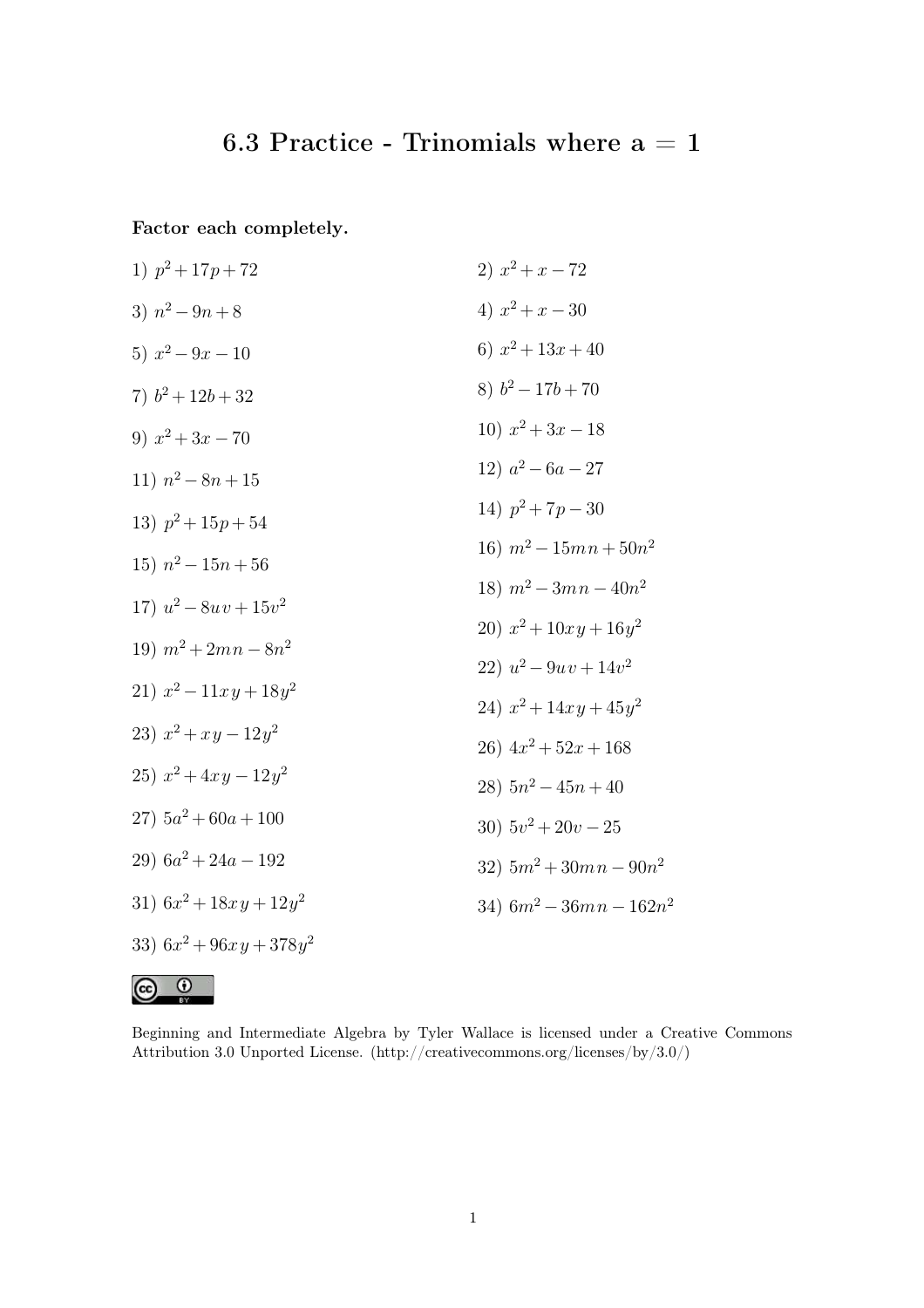## 6.3 Practice - Trinomials where  $a = 1$

Factor each completely.

1) 
$$
p^2 + 17p + 72
$$
  
\n2)  $x^2 + x - 72$   
\n3)  $n^2 - 9n + 8$   
\n4)  $x^2 + x - 30$   
\n5)  $x^2 - 9x - 10$   
\n6)  $x^2 + 13x + 40$   
\n7)  $b^2 + 12b + 32$   
\n8)  $b^2 - 17b + 70$   
\n9)  $x^2 + 3x - 70$   
\n10)  $x^2 + 3x - 18$   
\n11)  $n^2 - 8n + 15$   
\n12)  $a^2 - 6a - 27$   
\n13)  $p^2 + 15p + 54$   
\n14)  $p^2 + 7p - 30$   
\n15)  $n^2 - 15n + 56$   
\n16)  $m^2 - 3mn - 40n^2$   
\n17)  $u^2 - 8uv + 15v^2$   
\n18)  $m^2 - 3mn - 40n^2$   
\n20)  $x^2 + 10xy + 16y^2$   
\n21)  $x^2 - 11xy + 18y^2$   
\n22)  $u^2 - 9uv + 14v^2$   
\n23)  $x^2 + xy - 12y^2$   
\n24)  $x^2 + 14xy + 45y^2$   
\n25)  $x^2 + 4xy - 12y^2$   
\n26)  $4x^2 + 52x + 168$   
\n27)  $5a^2 + 60a + 100$   
\n28)  $5n^2 - 45n + 40$   
\n29)  $6a^2 + 24a - 192$   
\n31)  $6x^2 + 18xy + 12y^2$   
\n32)  $5m^2 + 30mn - 90n^2$   
\n33)  $6x^2 + 96xy + 378y^2$ 

 $\odot$  $\left(\mathrm{cc}\right)$ 

Beginning and Intermediate Algebra by Tyler Wallace is licensed under a Creative Commons Attribution 3.0 Unported License. (http://creativecommons.org/licenses/by/3.0/)